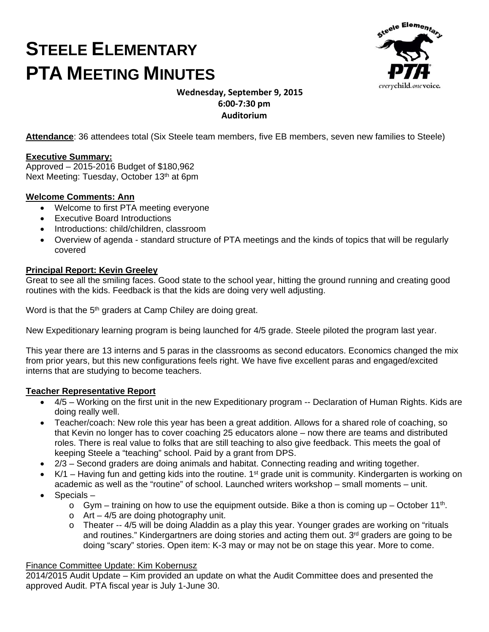# **STEELE ELEMENTARY PTA MEETING MINUTES**



# **Wednesday, September 9, 2015 6:00‐7:30 pm Auditorium**

**Attendance**: 36 attendees total (Six Steele team members, five EB members, seven new families to Steele)

#### **Executive Summary:**

Approved – 2015-2016 Budget of \$180,962 Next Meeting: Tuesday, October 13th at 6pm

#### **Welcome Comments: Ann**

- Welcome to first PTA meeting everyone
- Executive Board Introductions
- Introductions: child/children, classroom
- Overview of agenda standard structure of PTA meetings and the kinds of topics that will be regularly covered

#### **Principal Report: Kevin Greeley**

Great to see all the smiling faces. Good state to the school year, hitting the ground running and creating good routines with the kids. Feedback is that the kids are doing very well adjusting.

Word is that the 5<sup>th</sup> graders at Camp Chiley are doing great.

New Expeditionary learning program is being launched for 4/5 grade. Steele piloted the program last year.

This year there are 13 interns and 5 paras in the classrooms as second educators. Economics changed the mix from prior years, but this new configurations feels right. We have five excellent paras and engaged/excited interns that are studying to become teachers.

# **Teacher Representative Report**

- 4/5 Working on the first unit in the new Expeditionary program -- Declaration of Human Rights. Kids are doing really well.
- Teacher/coach: New role this year has been a great addition. Allows for a shared role of coaching, so that Kevin no longer has to cover coaching 25 educators alone – now there are teams and distributed roles. There is real value to folks that are still teaching to also give feedback. This meets the goal of keeping Steele a "teaching" school. Paid by a grant from DPS.
- 2/3 Second graders are doing animals and habitat. Connecting reading and writing together.
- K/1 Having fun and getting kids into the routine. 1<sup>st</sup> grade unit is community. Kindergarten is working on academic as well as the "routine" of school. Launched writers workshop – small moments – unit.
- Specials
	- $\circ$  Gym training on how to use the equipment outside. Bike a thon is coming up October 11<sup>th</sup>.
	- $\circ$  Art 4/5 are doing photography unit.
	- $\circ$  Theater -- 4/5 will be doing Aladdin as a play this year. Younger grades are working on "rituals" and routines." Kindergartners are doing stories and acting them out. 3<sup>rd</sup> graders are going to be doing "scary" stories. Open item: K-3 may or may not be on stage this year. More to come.

#### Finance Committee Update: Kim Kobernusz

2014/2015 Audit Update – Kim provided an update on what the Audit Committee does and presented the approved Audit. PTA fiscal year is July 1-June 30.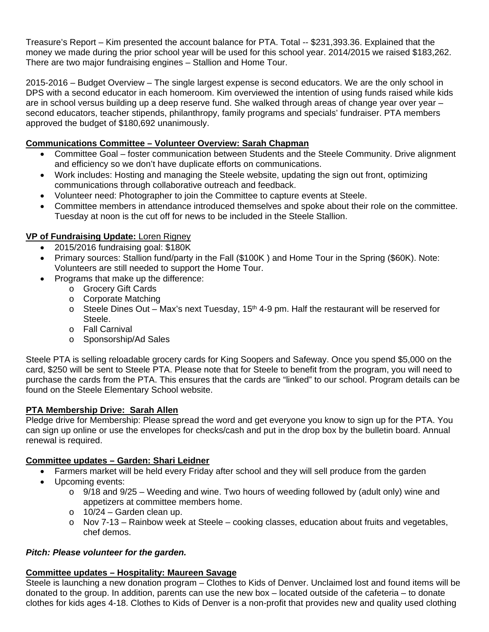Treasure's Report – Kim presented the account balance for PTA. Total -- \$231,393.36. Explained that the money we made during the prior school year will be used for this school year. 2014/2015 we raised \$183,262. There are two major fundraising engines – Stallion and Home Tour.

2015-2016 – Budget Overview – The single largest expense is second educators. We are the only school in DPS with a second educator in each homeroom. Kim overviewed the intention of using funds raised while kids are in school versus building up a deep reserve fund. She walked through areas of change year over year – second educators, teacher stipends, philanthropy, family programs and specials' fundraiser. PTA members approved the budget of \$180,692 unanimously.

# **Communications Committee – Volunteer Overview: Sarah Chapman**

- Committee Goal foster communication between Students and the Steele Community. Drive alignment and efficiency so we don't have duplicate efforts on communications.
- Work includes: Hosting and managing the Steele website, updating the sign out front, optimizing communications through collaborative outreach and feedback.
- Volunteer need: Photographer to join the Committee to capture events at Steele.
- Committee members in attendance introduced themselves and spoke about their role on the committee. Tuesday at noon is the cut off for news to be included in the Steele Stallion.

# **VP of Fundraising Update:** Loren Rigney

- 2015/2016 fundraising goal: \$180K
- Primary sources: Stallion fund/party in the Fall (\$100K) and Home Tour in the Spring (\$60K). Note: Volunteers are still needed to support the Home Tour.
- Programs that make up the difference:
	- o Grocery Gift Cards
	- o Corporate Matching
	- $\circ$  Steele Dines Out Max's next Tuesday, 15<sup>th</sup> 4-9 pm. Half the restaurant will be reserved for Steele.
	- o Fall Carnival
	- o Sponsorship/Ad Sales

Steele PTA is selling reloadable grocery cards for King Soopers and Safeway. Once you spend \$5,000 on the card, \$250 will be sent to Steele PTA. Please note that for Steele to benefit from the program, you will need to purchase the cards from the PTA. This ensures that the cards are "linked" to our school. Program details can be found on the Steele Elementary School website.

# **PTA Membership Drive: Sarah Allen**

Pledge drive for Membership: Please spread the word and get everyone you know to sign up for the PTA. You can sign up online or use the envelopes for checks/cash and put in the drop box by the bulletin board. Annual renewal is required.

# **Committee updates – Garden: Shari Leidner**

- Farmers market will be held every Friday after school and they will sell produce from the garden
- Upcoming events:
	- $\circ$  9/18 and 9/25 Weeding and wine. Two hours of weeding followed by (adult only) wine and appetizers at committee members home.
	- $\circ$  10/24 Garden clean up.
	- o Nov 7-13 Rainbow week at Steele cooking classes, education about fruits and vegetables, chef demos.

# *Pitch: Please volunteer for the garden.*

# **Committee updates – Hospitality: Maureen Savage**

Steele is launching a new donation program – Clothes to Kids of Denver. Unclaimed lost and found items will be donated to the group. In addition, parents can use the new box – located outside of the cafeteria – to donate clothes for kids ages 4-18. Clothes to Kids of Denver is a non-profit that provides new and quality used clothing